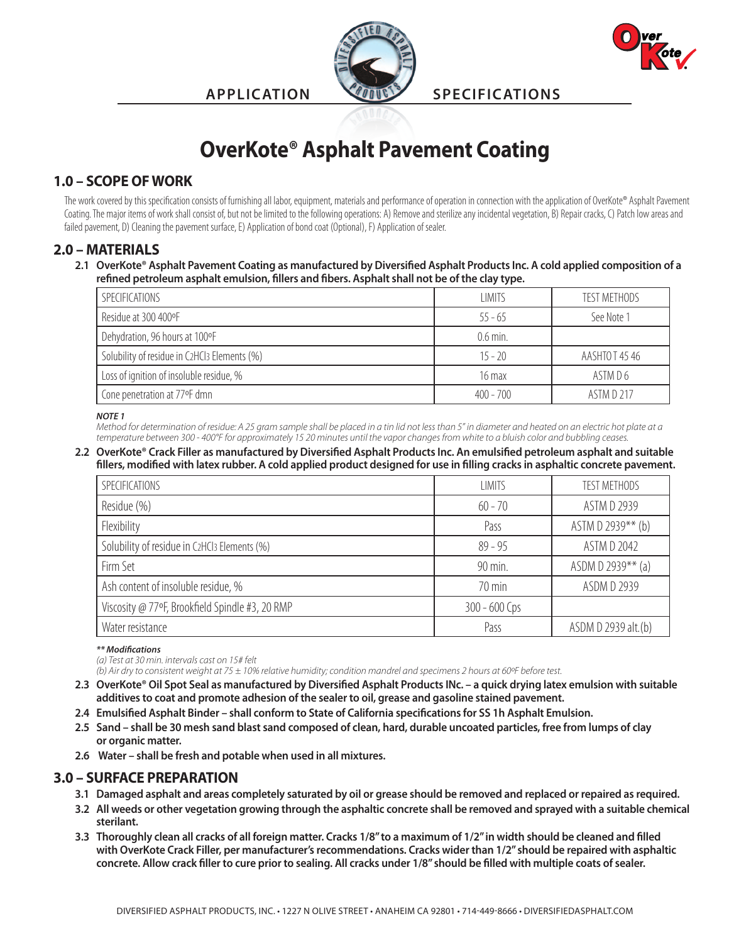

**APPLICATION SPECIFICATIONS**



# **OverKote® Asphalt Pavement Coating**

# **1.0 – SCOPE OF WORK**

The work covered by this specification consists of furnishing all labor, equipment, materials and performance of operation in connection with the application of OverKote® Asphalt Pavement Coating. The major items of work shall consist of, but not be limited to the following operations: A) Remove and sterilize any incidental vegetation, B) Repair cracks, C) Patch low areas and failed pavement, D) Cleaning the pavement surface, E) Application of bond coat (Optional), F) Application of sealer.

### **2.0 – MATERIALS**

**2.1 OverKote® Asphalt Pavement Coating as manufactured by Diversified Asphalt Products Inc. A cold applied composition of a refined petroleum asphalt emulsion, fillers and fibers. Asphalt shall not be of the clay type.**

| SPECIFICATIONS                               | <b>LIMITS</b>    | TEST METHODS  |
|----------------------------------------------|------------------|---------------|
| Residue at 300 400°F                         | $55 - 65$        | See Note 1    |
| Dehydration, 96 hours at 100°F               | $0.6$ min.       |               |
| Solubility of residue in C2HCl3 Elements (%) | $15 - 20$        | AASHTOT 45 46 |
| Loss of ignition of insoluble residue, %     | $16 \text{ max}$ | ASTM D 6      |
| Cone penetration at 77°F dmn                 | $400 - 700$      | ASTM D 217    |

*NOTE 1*

*Method for determination of residue: A 25 gram sample shall be placed in a tin lid not less than 5" in diameter and heated on an electric hot plate at a temperature between 300 - 400°F for approximately 15 20 minutes until the vapor changes from white to a bluish color and bubbling ceases.*

#### **2.2 OverKote® Crack Filler as manufactured by Diversified Asphalt Products Inc. An emulsified petroleum asphalt and suitable fillers, modified with latex rubber. A cold applied product designed for use in filling cracks in asphaltic concrete pavement.**

| SPECIFICATIONS                                  | <b>LIMITS</b>   | <b>TEST METHODS</b> |
|-------------------------------------------------|-----------------|---------------------|
| Residue (%)                                     | $60 - 70$       | ASTM D 2939         |
| Flexibility                                     | Pass            | ASTM D 2939** (b)   |
| Solubility of residue in C2HCl3 Elements (%)    | $89 - 95$       | ASTM D 2042         |
| Firm Set                                        | 90 min.         | ASDM D 2939** (a)   |
| Ash content of insoluble residue, %             | 70 min          | ASDM D 2939         |
| Viscosity @ 77°F, Brookfield Spindle #3, 20 RMP | $300 - 600$ Cps |                     |
| Water resistance                                | Pass            | ASDM D 2939 alt.(b) |

*\*\* Modifications*

*(a) Test at 30 min. intervals cast on 15# felt*

*(b) Air dry to consistent weight at 75 ± 10% relative humidity; condition mandrel and specimens 2 hours at 60ºF before test.*

- **2.3 OverKote® Oil Spot Seal as manufactured by Diversified Asphalt Products INc. a quick drying latex emulsion with suitable additives to coat and promote adhesion of the sealer to oil, grease and gasoline stained pavement.**
- **2.4 Emulsified Asphalt Binder shall conform to State of California specifications for SS 1h Asphalt Emulsion.**
- **2.5 Sand shall be 30 mesh sand blast sand composed of clean, hard, durable uncoated particles, free from lumps of clay or organic matter.**
- **2.6 Water shall be fresh and potable when used in all mixtures.**

# **3.0 – SURFACE PREPARATION**

- **3.1 Damaged asphalt and areas completely saturated by oil or grease should be removed and replaced or repaired as required.**
- **3.2 All weeds or other vegetation growing through the asphaltic concrete shall be removed and sprayed with a suitable chemical sterilant.**
- **3.3 Thoroughly clean all cracks of all foreign matter. Cracks 1/8" to a maximum of 1/2" in width should be cleaned and filled with OverKote Crack Filler, per manufacturer's recommendations. Cracks wider than 1/2" should be repaired with asphaltic concrete. Allow crack filler to cure prior to sealing. All cracks under 1/8" should be filled with multiple coats of sealer.**